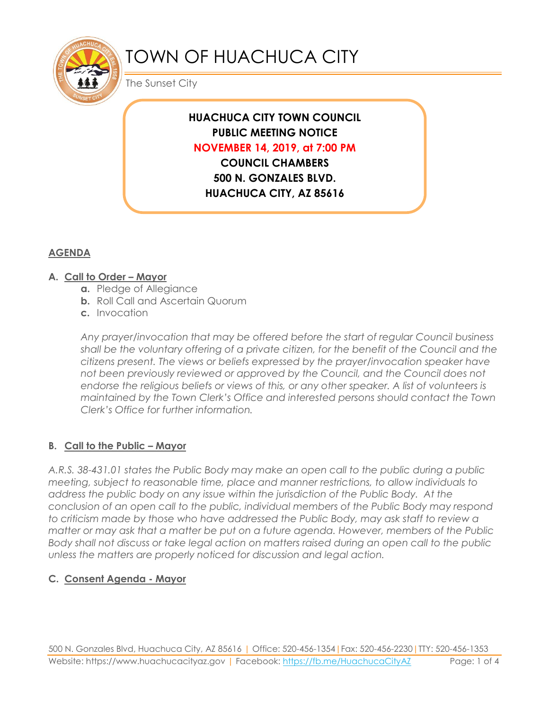

# TOWN OF HUACHUCA CITY

The Sunset City

## **HUACHUCA CITY TOWN COUNCIL PUBLIC MEETING NOTICE NOVEMBER 14, 2019, at 7:00 PM**

**COUNCIL CHAMBERS 500 N. GONZALES BLVD. HUACHUCA CITY, AZ 85616**

#### **AGENDA**

#### **A. Call to Order – Mayor**

- **a.** Pledge of Allegiance
- **b.** Roll Call and Ascertain Quorum
- **c.** Invocation

*Any prayer/invocation that may be offered before the start of regular Council business shall be the voluntary offering of a private citizen, for the benefit of the Council and the citizens present. The views or beliefs expressed by the prayer/invocation speaker have not been previously reviewed or approved by the Council, and the Council does not endorse the religious beliefs or views of this, or any other speaker. A list of volunteers is maintained by the Town Clerk's Office and interested persons should contact the Town Clerk's Office for further information.*

#### **B. Call to the Public – Mayor**

*A.R.S. 38-431.01 states the Public Body may make an open call to the public during a public meeting, subject to reasonable time, place and manner restrictions, to allow individuals to address the public body on any issue within the jurisdiction of the Public Body. At the conclusion of an open call to the public, individual members of the Public Body may respond to criticism made by those who have addressed the Public Body, may ask staff to review a matter or may ask that a matter be put on a future agenda. However, members of the Public Body shall not discuss or take legal action on matters raised during an open call to the public unless the matters are properly noticed for discussion and legal action.*

#### **C. Consent Agenda - Mayor**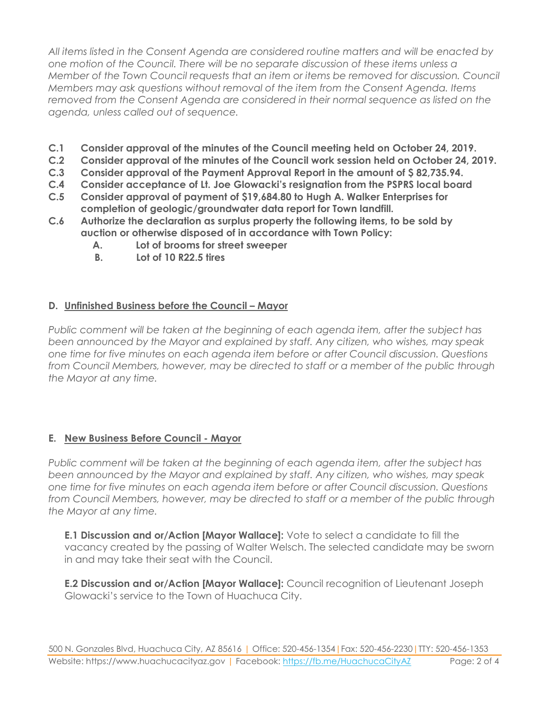*All items listed in the Consent Agenda are considered routine matters and will be enacted by one motion of the Council. There will be no separate discussion of these items unless a Member of the Town Council requests that an item or items be removed for discussion. Council Members may ask questions without removal of the item from the Consent Agenda. Items removed from the Consent Agenda are considered in their normal sequence as listed on the agenda, unless called out of sequence.*

- **C.1 Consider approval of the minutes of the Council meeting held on October 24, 2019.**
- **C.2 Consider approval of the minutes of the Council work session held on October 24, 2019.**
- **C.3 Consider approval of the Payment Approval Report in the amount of \$ 82,735.94.**
- **C.4 Consider acceptance of Lt. Joe Glowacki's resignation from the PSPRS local board**
- **C.5 Consider approval of payment of \$19,684.80 to Hugh A. Walker Enterprises for completion of geologic/groundwater data report for Town landfill.**
- **C.6 Authorize the declaration as surplus property the following items, to be sold by auction or otherwise disposed of in accordance with Town Policy:**
	- **A. Lot of brooms for street sweeper**
	- **B. Lot of 10 R22.5 tires**

#### **D.** Unfinished Business before the Council - Mayor

*Public comment will be taken at the beginning of each agenda item, after the subject has been announced by the Mayor and explained by staff. Any citizen, who wishes, may speak one time for five minutes on each agenda item before or after Council discussion. Questions from Council Members, however, may be directed to staff or a member of the public through the Mayor at any time.*

#### **E. New Business Before Council - Mayor**

*Public comment will be taken at the beginning of each agenda item, after the subject has been announced by the Mayor and explained by staff. Any citizen, who wishes, may speak one time for five minutes on each agenda item before or after Council discussion. Questions from Council Members, however, may be directed to staff or a member of the public through the Mayor at any time.* 

**E.1 Discussion and or/Action [Mayor Wallace]:** Vote to select a candidate to fill the vacancy created by the passing of Walter Welsch. The selected candidate may be sworn in and may take their seat with the Council.

**E.2 Discussion and or/Action [Mayor Wallace]:** Council recognition of Lieutenant Joseph Glowacki's service to the Town of Huachuca City.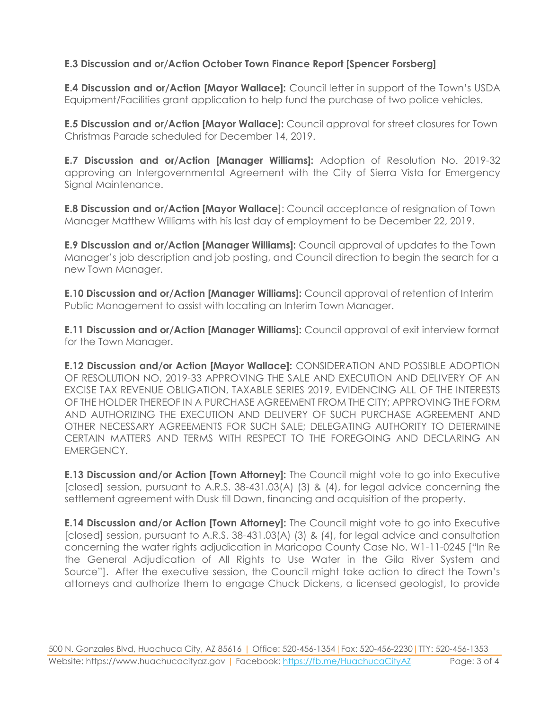#### **E.3 Discussion and or/Action October Town Finance Report [Spencer Forsberg]**

**E.4 Discussion and or/Action [Mayor Wallace]:** Council letter in support of the Town's USDA Equipment/Facilities grant application to help fund the purchase of two police vehicles.

**E.5 Discussion and or/Action [Mayor Wallace]:** Council approval for street closures for Town Christmas Parade scheduled for December 14, 2019.

**E.7 Discussion and or/Action [Manager Williams]:** Adoption of Resolution No. 2019-32 approving an Intergovernmental Agreement with the City of Sierra Vista for Emergency Sianal Maintenance.

**E.8 Discussion and or/Action [Mayor Wallace**]: Council acceptance of resignation of Town Manager Matthew Williams with his last day of employment to be December 22, 2019.

**E.9 Discussion and or/Action [Manager Williams]:** Council approval of updates to the Town Manager's job description and job posting, and Council direction to begin the search for a new Town Manager.

**E.10 Discussion and or/Action [Manager Williams]:** Council approval of retention of Interim Public Management to assist with locating an Interim Town Manager.

**E.11 Discussion and or/Action [Manager Williams]:** Council approval of exit interview format for the Town Manager.

**E.12 Discussion and/or Action [Mayor Wallace]:** CONSIDERATION AND POSSIBLE ADOPTION OF RESOLUTION NO, 2019-33 APPROVING THE SALE AND EXECUTION AND DELIVERY OF AN EXCISE TAX REVENUE OBLIGATION, TAXABLE SERIES 2019, EVIDENCING ALL OF THE INTERESTS OF THE HOLDER THEREOF IN A PURCHASE AGREEMENT FROM THE CITY; APPROVING THE FORM AND AUTHORIZING THE EXECUTION AND DELIVERY OF SUCH PURCHASE AGREEMENT AND OTHER NECESSARY AGREEMENTS FOR SUCH SALE; DELEGATING AUTHORITY TO DETERMINE CERTAIN MATTERS AND TERMS WITH RESPECT TO THE FOREGOING AND DECLARING AN EMERGENCY.

**E.13 Discussion and/or Action [Town Attorney]:** The Council might vote to go into Executive [closed] session, pursuant to A.R.S. 38-431.03(A) (3) & (4), for legal advice concerning the settlement agreement with Dusk till Dawn, financing and acquisition of the property.

**E.14 Discussion and/or Action [Town Attorney]:** The Council might vote to go into Executive [closed] session, pursuant to A.R.S. 38-431.03(A) (3) & (4), for legal advice and consultation concerning the water rights adjudication in Maricopa County Case No. W1-11-0245 ["In Re the General Adjudication of All Rights to Use Water in the Gila River System and Source"]. After the executive session, the Council might take action to direct the Town's attorneys and authorize them to engage Chuck Dickens, a licensed geologist, to provide